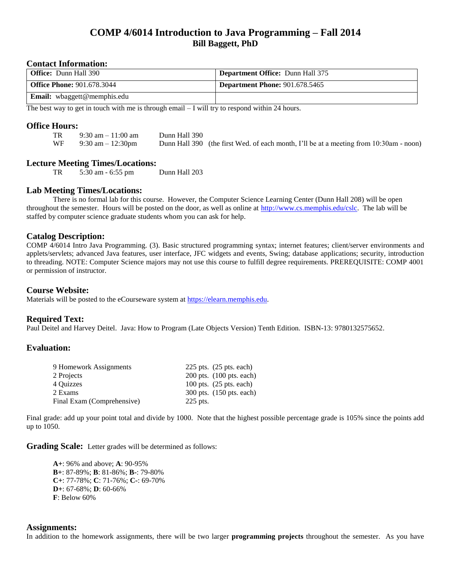# **COMP 4/6014 Introduction to Java Programming – Fall 2014 Bill Baggett, PhD**

### **Contact Information:**

| <b>Office:</b> Dunn Hall 390       | <b>Department Office: Dunn Hall 375</b> |
|------------------------------------|-----------------------------------------|
| <b>Office Phone: 901.678.3044</b>  | <b>Department Phone: 901.678.5465</b>   |
| <b>Email:</b> wbaggett@memphis.edu |                                         |

The best way to get in touch with me is through email  $-\bar{I}$  will try to respond within 24 hours.

### **Office Hours:**

| TR | 9:30 am $-11:00$ am | Dunn Hall 390 |                                                                                        |
|----|---------------------|---------------|----------------------------------------------------------------------------------------|
| WF | 9:30 am $-12:30$ pm |               | Dunn Hall 390 (the first Wed. of each month, I'll be at a meeting from 10:30am - noon) |

### **Lecture Meeting Times/Locations:**

TR 5:30 am - 6:55 pm Dunn Hall 203

# **Lab Meeting Times/Locations:**

There is no formal lab for this course. However, the Computer Science Learning Center (Dunn Hall 208) will be open throughout the semester. Hours will be posted on the door, as well as online at [http://www.cs.memphis.edu/cslc.](http://www.cs.memphis.edu/cslc) The lab will be staffed by computer science graduate students whom you can ask for help.

### **Catalog Description:**

COMP 4/6014 Intro Java Programming. (3). Basic structured programming syntax; internet features; client/server environments and applets/servlets; advanced Java features, user interface, JFC widgets and events, Swing; database applications; security, introduction to threading. NOTE: Computer Science majors may not use this course to fulfill degree requirements. PREREQUISITE: COMP 4001 or permission of instructor.

#### **Course Website:**

Materials will be posted to the eCourseware system at [https://elearn.memphis.edu.](https://elearn.memphis.edu/)

#### **Required Text:**

Paul Deitel and Harvey Deitel. Java: How to Program (Late Objects Version) Tenth Edition. ISBN-13: 9780132575652.

#### **Evaluation:**

| 9 Homework Assignments     | $225$ pts. $(25$ pts. each)       |
|----------------------------|-----------------------------------|
| 2 Projects                 | $200$ pts. $(100$ pts. each)      |
| 4 Ouizzes                  | 100 pts. $(25 \text{ pts. each})$ |
| 2 Exams                    | 300 pts. (150 pts. each)          |
| Final Exam (Comprehensive) | 225 pts.                          |

Final grade: add up your point total and divide by 1000. Note that the highest possible percentage grade is 105% since the points add up to 1050.

**Grading Scale:** Letter grades will be determined as follows:

**A+**: 96% and above; **A**: 90-95% **B+**: 87-89%; **B**: 81-86%; **B-**: 79-80% **C+**: 77-78%; **C**: 71-76%; **C-**: 69-70% **D+**: 67-68%; **D**: 60-66% **F**: Below 60%

#### **Assignments:**

In addition to the homework assignments, there will be two larger **programming projects** throughout the semester. As you have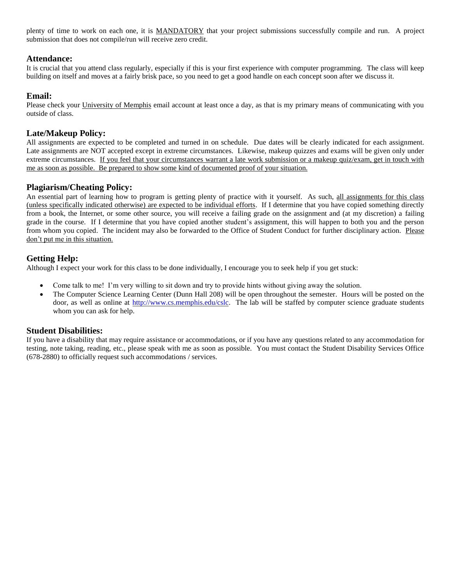plenty of time to work on each one, it is MANDATORY that your project submissions successfully compile and run. A project submission that does not compile/run will receive zero credit.

# **Attendance:**

It is crucial that you attend class regularly, especially if this is your first experience with computer programming. The class will keep building on itself and moves at a fairly brisk pace, so you need to get a good handle on each concept soon after we discuss it.

## **Email:**

Please check your University of Memphis email account at least once a day, as that is my primary means of communicating with you outside of class.

## **Late/Makeup Policy:**

All assignments are expected to be completed and turned in on schedule. Due dates will be clearly indicated for each assignment. Late assignments are NOT accepted except in extreme circumstances. Likewise, makeup quizzes and exams will be given only under extreme circumstances. If you feel that your circumstances warrant a late work submission or a makeup quiz/exam, get in touch with me as soon as possible. Be prepared to show some kind of documented proof of your situation.

# **Plagiarism/Cheating Policy:**

An essential part of learning how to program is getting plenty of practice with it yourself. As such, all assignments for this class (unless specifically indicated otherwise) are expected to be individual efforts. If I determine that you have copied something directly from a book, the Internet, or some other source, you will receive a failing grade on the assignment and (at my discretion) a failing grade in the course. If I determine that you have copied another student's assignment, this will happen to both you and the person from whom you copied. The incident may also be forwarded to the Office of Student Conduct for further disciplinary action. Please don't put me in this situation.

# **Getting Help:**

Although I expect your work for this class to be done individually, I encourage you to seek help if you get stuck:

- Come talk to me! I'm very willing to sit down and try to provide hints without giving away the solution.
- The Computer Science Learning Center (Dunn Hall 208) will be open throughout the semester. Hours will be posted on the door, as well as online at [http://www.cs.memphis.edu/cslc.](http://www.cs.memphis.edu/cslc) The lab will be staffed by computer science graduate students whom you can ask for help.

## **Student Disabilities:**

If you have a disability that may require assistance or accommodations, or if you have any questions related to any accommodation for testing, note taking, reading, etc., please speak with me as soon as possible. You must contact the Student Disability Services Office (678-2880) to officially request such accommodations / services.